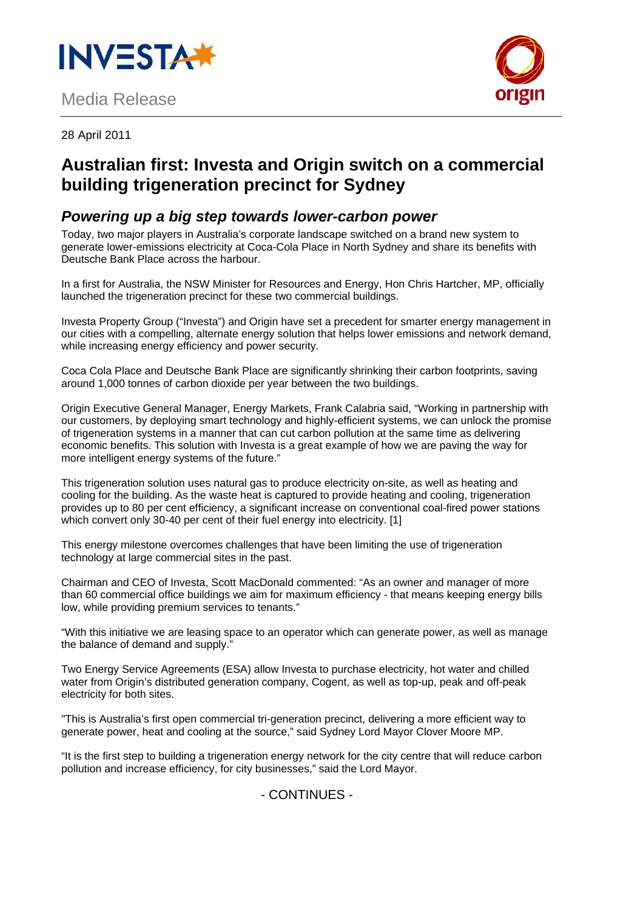

# Media Release



28 April 2011

# **Australian first: Investa and Origin switch on a commercial building trigeneration precinct for Sydney**

### *Powering up a big step towards lower-carbon power*

Today, two major players in Australia's corporate landscape switched on a brand new system to generate lower-emissions electricity at Coca-Cola Place in North Sydney and share its benefits with Deutsche Bank Place across the harbour.

In a first for Australia, the NSW Minister for Resources and Energy, Hon Chris Hartcher, MP, officially launched the trigeneration precinct for these two commercial buildings.

Investa Property Group ("Investa") and Origin have set a precedent for smarter energy management in our cities with a compelling, alternate energy solution that helps lower emissions and network demand, while increasing energy efficiency and power security.

Coca Cola Place and Deutsche Bank Place are significantly shrinking their carbon footprints, saving around 1,000 tonnes of carbon dioxide per year between the two buildings.

Origin Executive General Manager, Energy Markets, Frank Calabria said, "Working in partnership with our customers, by deploying smart technology and highly-efficient systems, we can unlock the promise of trigeneration systems in a manner that can cut carbon pollution at the same time as delivering economic benefits. This solution with Investa is a great example of how we are paving the way for more intelligent energy systems of the future."

This trigeneration solution uses natural gas to produce electricity on-site, as well as heating and cooling for the building. As the waste heat is captured to provide heating and cooling, trigeneration provides up to 80 per cent efficiency, a significant increase on conventional coal-fired power stations which convert only 30-40 per cent of their fuel energy into electricity. [1]

This energy milestone overcomes challenges that have been limiting the use of trigeneration technology at large commercial sites in the past.

Chairman and CEO of Investa, Scott MacDonald commented: "As an owner and manager of more than 60 commercial office buildings we aim for maximum efficiency - that means keeping energy bills low, while providing premium services to tenants."

"With this initiative we are leasing space to an operator which can generate power, as well as manage the balance of demand and supply."

Two Energy Service Agreements (ESA) allow Investa to purchase electricity, hot water and chilled water from Origin's distributed generation company, Cogent, as well as top-up, peak and off-peak electricity for both sites.

"This is Australia's first open commercial tri-generation precinct, delivering a more efficient way to generate power, heat and cooling at the source," said Sydney Lord Mayor Clover Moore MP.

"It is the first step to building a trigeneration energy network for the city centre that will reduce carbon pollution and increase efficiency, for city businesses," said the Lord Mayor.

- CONTINUES -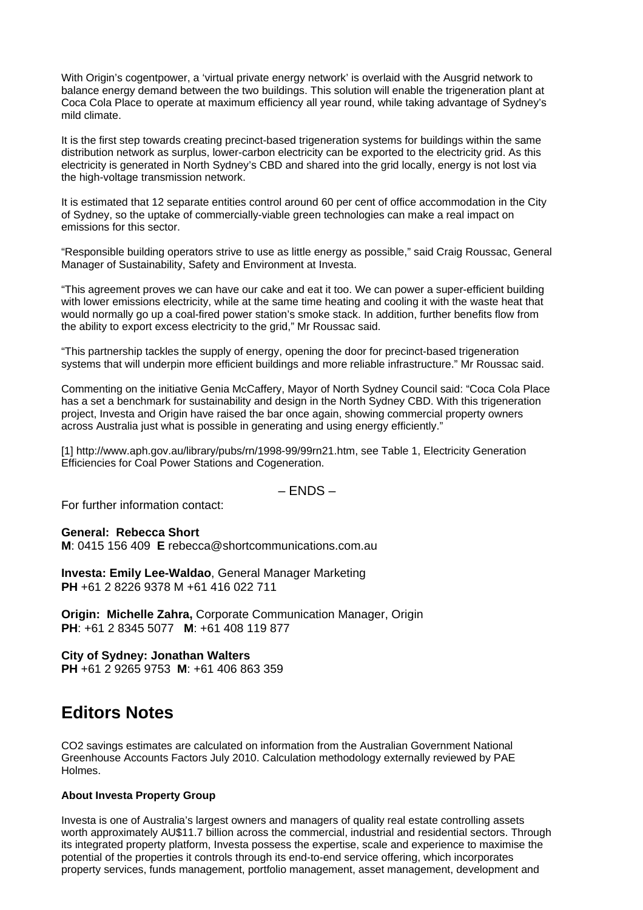With Origin's cogentpower, a 'virtual private energy network' is overlaid with the Ausgrid network to balance energy demand between the two buildings. This solution will enable the trigeneration plant at Coca Cola Place to operate at maximum efficiency all year round, while taking advantage of Sydney's mild climate.

It is the first step towards creating precinct-based trigeneration systems for buildings within the same distribution network as surplus, lower-carbon electricity can be exported to the electricity grid. As this electricity is generated in North Sydney's CBD and shared into the grid locally, energy is not lost via the high-voltage transmission network.

It is estimated that 12 separate entities control around 60 per cent of office accommodation in the City of Sydney, so the uptake of commercially-viable green technologies can make a real impact on emissions for this sector.

"Responsible building operators strive to use as little energy as possible," said Craig Roussac, General Manager of Sustainability, Safety and Environment at Investa.

"This agreement proves we can have our cake and eat it too. We can power a super-efficient building with lower emissions electricity, while at the same time heating and cooling it with the waste heat that would normally go up a coal-fired power station's smoke stack. In addition, further benefits flow from the ability to export excess electricity to the grid," Mr Roussac said.

"This partnership tackles the supply of energy, opening the door for precinct-based trigeneration systems that will underpin more efficient buildings and more reliable infrastructure." Mr Roussac said.

Commenting on the initiative Genia McCaffery, Mayor of North Sydney Council said: "Coca Cola Place has a set a benchmark for sustainability and design in the North Sydney CBD. With this trigeneration project, Investa and Origin have raised the bar once again, showing commercial property owners across Australia just what is possible in generating and using energy efficiently."

[1] http://www.aph.gov.au/library/pubs/rn/1998-99/99rn21.htm, see Table 1, Electricity Generation Efficiencies for Coal Power Stations and Cogeneration.

#### – ENDS –

For further information contact:

#### **General: Rebecca Short**

**M**: 0415 156 409 **E** rebecca@shortcommunications.com.au

**Investa: Emily Lee-Waldao**, General Manager Marketing **PH** +61 2 8226 9378 M +61 416 022 711

**Origin: Michelle Zahra, Corporate Communication Manager, Origin PH**: +61 2 8345 5077 **M**: +61 408 119 877

**City of Sydney: Jonathan Walters PH** +61 2 9265 9753 **M**: +61 406 863 359

## **Editors Notes**

CO2 savings estimates are calculated on information from the Australian Government National Greenhouse Accounts Factors July 2010. Calculation methodology externally reviewed by PAE Holmes.

#### **About Investa Property Group**

Investa is one of Australia's largest owners and managers of quality real estate controlling assets worth approximately AU\$11.7 billion across the commercial, industrial and residential sectors. Through its integrated property platform, Investa possess the expertise, scale and experience to maximise the potential of the properties it controls through its end-to-end service offering, which incorporates property services, funds management, portfolio management, asset management, development and